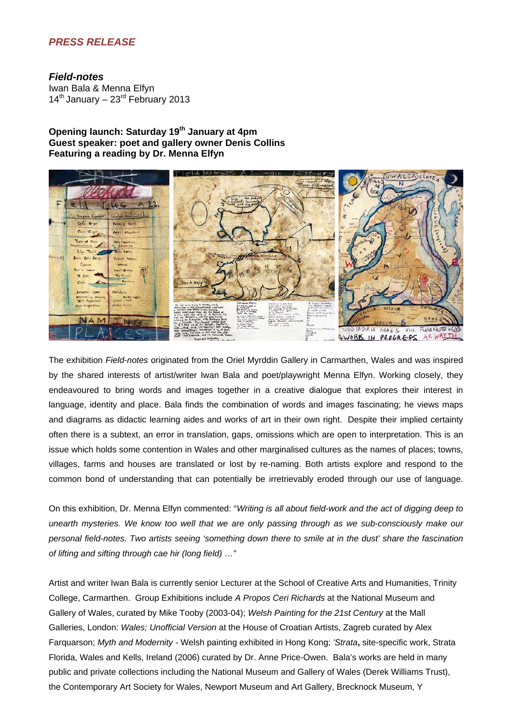# *PRESS RELEASE*

## *Field-notes*

Iwan Bala & Menna Elfyn  $14<sup>th</sup>$  January – 23 $<sup>rd</sup>$  February 2013</sup>

# **Opening launch: Saturday 19th January at 4pm Guest speaker: poet and gallery owner Denis Collins Featuring a reading by Dr. Menna Elfyn**



The exhibition *Field-notes* originated from the Oriel Myrddin Gallery in Carmarthen, Wales and was inspired by the shared interests of artist/writer Iwan Bala and poet/playwright Menna Elfyn. Working closely, they endeavoured to bring words and images together in a creative dialogue that explores their interest in language, identity and place. Bala finds the combination of words and images fascinating; he views maps and diagrams as didactic learning aides and works of art in their own right. Despite their implied certainty often there is a subtext, an error in translation, gaps, omissions which are open to interpretation. This is an issue which holds some contention in Wales and other marginalised cultures as the names of places; towns, villages, farms and houses are translated or lost by re-naming. Both artists explore and respond to the common bond of understanding that can potentially be irretrievably eroded through our use of language.

On this exhibition, Dr. Menna Elfyn commented: "*Writing is all about field-work and the act of digging deep to unearth mysteries. We know too well that we are only passing through as we sub-consciously make our personal field-notes. Two artists seeing 'something down there to smile at in the dust' share the fascination of lifting and sifting through cae hir (long field) …"* 

Artist and writer Iwan Bala is currently senior Lecturer at the School of Creative Arts and Humanities, Trinity College, Carmarthen. Group Exhibitions include *A Propos Ceri Richards* at the National Museum and Gallery of Wales, curated by Mike Tooby (2003-04); *Welsh Painting for the 21st Century* at the Mall Galleries, London: *Wales; Unofficial Version* at the House of Croatian Artists, Zagreb curated by Alex Farquarson; *Myth and Modernity -* Welsh painting exhibited in Hong Kong; *'Strata***,** site-specific work, Strata Florida, Wales and Kells, Ireland (2006) curated by Dr. Anne Price-Owen. Bala's works are held in many public and private collections including the National Museum and Gallery of Wales (Derek Williams Trust), the Contemporary Art Society for Wales, Newport Museum and Art Gallery, Brecknock Museum, Y